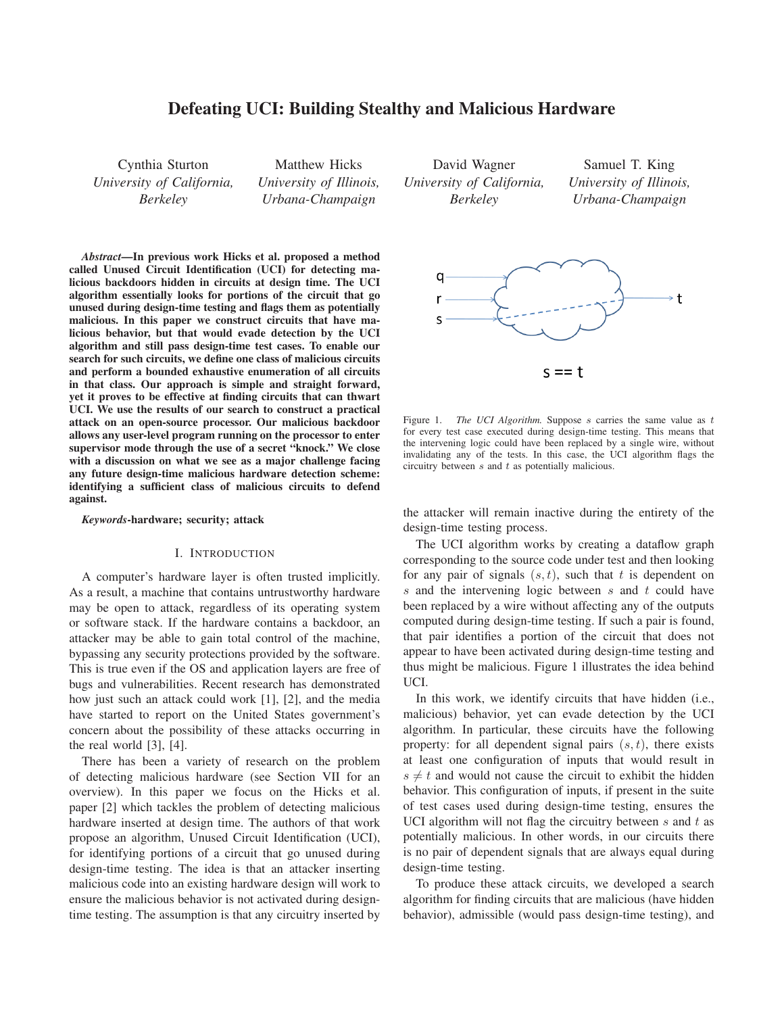# **Defeating UCI: Building Stealthy and Malicious Hardware**

Cynthia Sturton *University of California, Berkeley*

Matthew Hicks *University of Illinois, Urbana-Champaign*

*Abstract***—In previous work Hicks et al. proposed a method called Unused Circuit Identification (UCI) for detecting malicious backdoors hidden in circuits at design time. The UCI algorithm essentially looks for portions of the circuit that go unused during design-time testing and flags them as potentially malicious. In this paper we construct circuits that have malicious behavior, but that would evade detection by the UCI algorithm and still pass design-time test cases. To enable our search for such circuits, we define one class of malicious circuits and perform a bounded exhaustive enumeration of all circuits in that class. Our approach is simple and straight forward, yet it proves to be effective at finding circuits that can thwart UCI. We use the results of our search to construct a practical attack on an open-source processor. Our malicious backdoor allows any user-level program running on the processor to enter supervisor mode through the use of a secret "knock." We close with a discussion on what we see as a major challenge facing any future design-time malicious hardware detection scheme: identifying a sufficient class of malicious circuits to defend against.**

*Keywords***-hardware; security; attack**

### I. INTRODUCTION

A computer's hardware layer is often trusted implicitly. As a result, a machine that contains untrustworthy hardware may be open to attack, regardless of its operating system or software stack. If the hardware contains a backdoor, an attacker may be able to gain total control of the machine, bypassing any security protections provided by the software. This is true even if the OS and application layers are free of bugs and vulnerabilities. Recent research has demonstrated how just such an attack could work [1], [2], and the media have started to report on the United States government's concern about the possibility of these attacks occurring in the real world [3], [4].

There has been a variety of research on the problem of detecting malicious hardware (see Section VII for an overview). In this paper we focus on the Hicks et al. paper [2] which tackles the problem of detecting malicious hardware inserted at design time. The authors of that work propose an algorithm, Unused Circuit Identification (UCI), for identifying portions of a circuit that go unused during design-time testing. The idea is that an attacker inserting malicious code into an existing hardware design will work to ensure the malicious behavior is not activated during designtime testing. The assumption is that any circuitry inserted by

David Wagner *University of California, Berkeley* Samuel T. King *University of Illinois, Urbana-Champaign*



Figure 1. *The UCI Algorithm.* Suppose s carries the same value as t for every test case executed during design-time testing. This means that the intervening logic could have been replaced by a single wire, without invalidating any of the tests. In this case, the UCI algorithm flags the circuitry between  $s$  and  $t$  as potentially malicious.

the attacker will remain inactive during the entirety of the design-time testing process.

The UCI algorithm works by creating a dataflow graph corresponding to the source code under test and then looking for any pair of signals  $(s, t)$ , such that t is dependent on  $s$  and the intervening logic between  $s$  and  $t$  could have been replaced by a wire without affecting any of the outputs computed during design-time testing. If such a pair is found, that pair identifies a portion of the circuit that does not appear to have been activated during design-time testing and thus might be malicious. Figure 1 illustrates the idea behind UCI.

In this work, we identify circuits that have hidden (i.e., malicious) behavior, yet can evade detection by the UCI algorithm. In particular, these circuits have the following property: for all dependent signal pairs  $(s, t)$ , there exists at least one configuration of inputs that would result in  $s \neq t$  and would not cause the circuit to exhibit the hidden behavior. This configuration of inputs, if present in the suite of test cases used during design-time testing, ensures the UCI algorithm will not flag the circuitry between  $s$  and  $t$  as potentially malicious. In other words, in our circuits there is no pair of dependent signals that are always equal during design-time testing.

To produce these attack circuits, we developed a search algorithm for finding circuits that are malicious (have hidden behavior), admissible (would pass design-time testing), and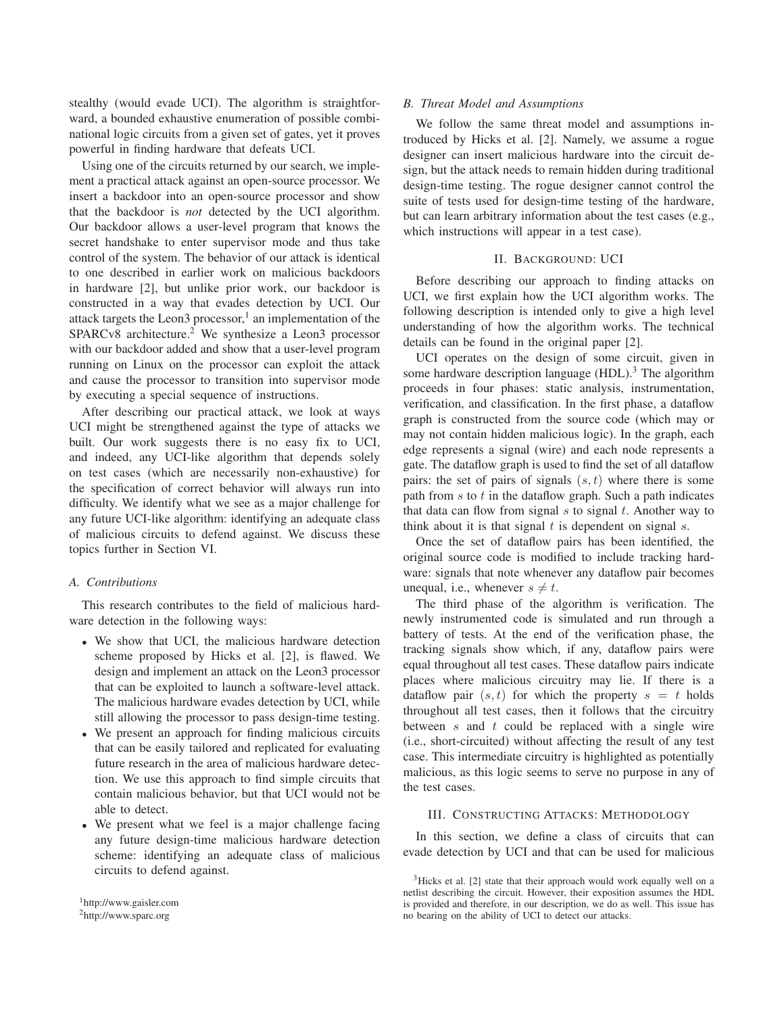stealthy (would evade UCI). The algorithm is straightforward, a bounded exhaustive enumeration of possible combinational logic circuits from a given set of gates, yet it proves powerful in finding hardware that defeats UCI.

Using one of the circuits returned by our search, we implement a practical attack against an open-source processor. We insert a backdoor into an open-source processor and show that the backdoor is *not* detected by the UCI algorithm. Our backdoor allows a user-level program that knows the secret handshake to enter supervisor mode and thus take control of the system. The behavior of our attack is identical to one described in earlier work on malicious backdoors in hardware [2], but unlike prior work, our backdoor is constructed in a way that evades detection by UCI. Our attack targets the Leon3 processor, $<sup>1</sup>$  an implementation of the</sup> SPARCv8 architecture.<sup>2</sup> We synthesize a Leon3 processor with our backdoor added and show that a user-level program running on Linux on the processor can exploit the attack and cause the processor to transition into supervisor mode by executing a special sequence of instructions.

After describing our practical attack, we look at ways UCI might be strengthened against the type of attacks we built. Our work suggests there is no easy fix to UCI, and indeed, any UCI-like algorithm that depends solely on test cases (which are necessarily non-exhaustive) for the specification of correct behavior will always run into difficulty. We identify what we see as a major challenge for any future UCI-like algorithm: identifying an adequate class of malicious circuits to defend against. We discuss these topics further in Section VI.

### *A. Contributions*

This research contributes to the field of malicious hardware detection in the following ways:

- We show that UCI, the malicious hardware detection scheme proposed by Hicks et al. [2], is flawed. We design and implement an attack on the Leon3 processor that can be exploited to launch a software-level attack. The malicious hardware evades detection by UCI, while still allowing the processor to pass design-time testing.
- We present an approach for finding malicious circuits that can be easily tailored and replicated for evaluating future research in the area of malicious hardware detection. We use this approach to find simple circuits that contain malicious behavior, but that UCI would not be able to detect.
- We present what we feel is a major challenge facing any future design-time malicious hardware detection scheme: identifying an adequate class of malicious circuits to defend against.

### *B. Threat Model and Assumptions*

We follow the same threat model and assumptions introduced by Hicks et al. [2]. Namely, we assume a rogue designer can insert malicious hardware into the circuit design, but the attack needs to remain hidden during traditional design-time testing. The rogue designer cannot control the suite of tests used for design-time testing of the hardware, but can learn arbitrary information about the test cases (e.g., which instructions will appear in a test case).

### II. BACKGROUND: UCI

Before describing our approach to finding attacks on UCI, we first explain how the UCI algorithm works. The following description is intended only to give a high level understanding of how the algorithm works. The technical details can be found in the original paper [2].

UCI operates on the design of some circuit, given in some hardware description language  $(HDL)$ .<sup>3</sup> The algorithm proceeds in four phases: static analysis, instrumentation, verification, and classification. In the first phase, a dataflow graph is constructed from the source code (which may or may not contain hidden malicious logic). In the graph, each edge represents a signal (wire) and each node represents a gate. The dataflow graph is used to find the set of all dataflow pairs: the set of pairs of signals  $(s, t)$  where there is some path from  $s$  to  $t$  in the dataflow graph. Such a path indicates that data can flow from signal  $s$  to signal  $t$ . Another way to think about it is that signal  $t$  is dependent on signal  $s$ .

Once the set of dataflow pairs has been identified, the original source code is modified to include tracking hardware: signals that note whenever any dataflow pair becomes unequal, i.e., whenever  $s \neq t$ .

The third phase of the algorithm is verification. The newly instrumented code is simulated and run through a battery of tests. At the end of the verification phase, the tracking signals show which, if any, dataflow pairs were equal throughout all test cases. These dataflow pairs indicate places where malicious circuitry may lie. If there is a dataflow pair  $(s, t)$  for which the property  $s = t$  holds throughout all test cases, then it follows that the circuitry between  $s$  and  $t$  could be replaced with a single wire (i.e., short-circuited) without affecting the result of any test case. This intermediate circuitry is highlighted as potentially malicious, as this logic seems to serve no purpose in any of the test cases.

### III. CONSTRUCTING ATTACKS: METHODOLOGY

In this section, we define a class of circuits that can evade detection by UCI and that can be used for malicious

<sup>&</sup>lt;sup>3</sup>Hicks et al. [2] state that their approach would work equally well on a netlist describing the circuit. However, their exposition assumes the HDL is provided and therefore, in our description, we do as well. This issue has no bearing on the ability of UCI to detect our attacks.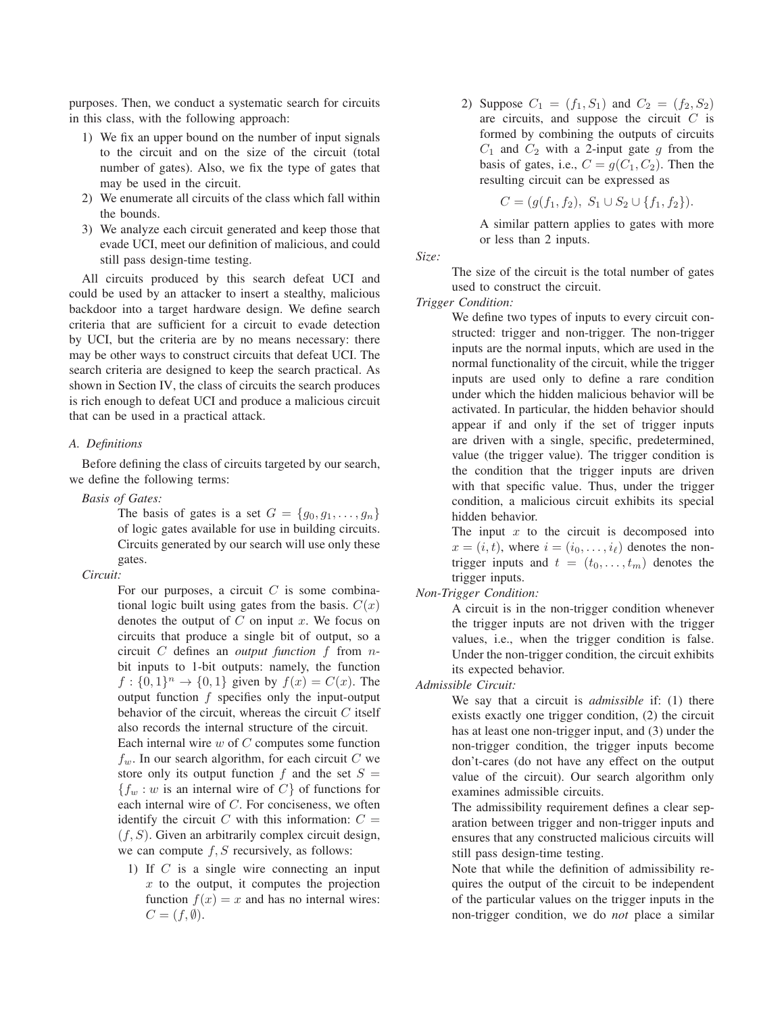purposes. Then, we conduct a systematic search for circuits in this class, with the following approach:

- 1) We fix an upper bound on the number of input signals to the circuit and on the size of the circuit (total number of gates). Also, we fix the type of gates that may be used in the circuit.
- 2) We enumerate all circuits of the class which fall within the bounds.
- 3) We analyze each circuit generated and keep those that evade UCI, meet our definition of malicious, and could still pass design-time testing.

All circuits produced by this search defeat UCI and could be used by an attacker to insert a stealthy, malicious backdoor into a target hardware design. We define search criteria that are sufficient for a circuit to evade detection by UCI, but the criteria are by no means necessary: there may be other ways to construct circuits that defeat UCI. The search criteria are designed to keep the search practical. As shown in Section IV, the class of circuits the search produces is rich enough to defeat UCI and produce a malicious circuit that can be used in a practical attack.

### *A. Definitions*

Before defining the class of circuits targeted by our search, we define the following terms:

*Basis of Gates:*

The basis of gates is a set  $G = \{g_0, g_1, \ldots, g_n\}$ of logic gates available for use in building circuits. Circuits generated by our search will use only these gates.

### *Circuit:*

For our purposes, a circuit  $C$  is some combinational logic built using gates from the basis.  $C(x)$ denotes the output of  $C$  on input  $x$ . We focus on circuits that produce a single bit of output, so a circuit C defines an *output function* f from nbit inputs to 1-bit outputs: namely, the function  $f: \{0,1\}^n \to \{0,1\}$  given by  $f(x) = C(x)$ . The output function  $f$  specifies only the input-output behavior of the circuit, whereas the circuit  $C$  itself also records the internal structure of the circuit.

Each internal wire  $w$  of  $C$  computes some function  $f_w$ . In our search algorithm, for each circuit C we store only its output function  $f$  and the set  $S =$  ${f_w : w$  is an internal wire of  $C$  of functions for each internal wire of C. For conciseness, we often identify the circuit C with this information:  $C =$  $(f, S)$ . Given an arbitrarily complex circuit design, we can compute  $f, S$  recursively, as follows:

1) If  $C$  is a single wire connecting an input  $x$  to the output, it computes the projection function  $f(x) = x$  and has no internal wires:  $C=(f,\emptyset).$ 

2) Suppose  $C_1 = (f_1, S_1)$  and  $C_2 = (f_2, S_2)$ are circuits, and suppose the circuit  $C$  is formed by combining the outputs of circuits  $C_1$  and  $C_2$  with a 2-input gate g from the basis of gates, i.e.,  $C = g(C_1, C_2)$ . Then the resulting circuit can be expressed as

$$
C = (g(f_1, f_2), S_1 \cup S_2 \cup \{f_1, f_2\}).
$$

A similar pattern applies to gates with more or less than 2 inputs.

*Size:*

The size of the circuit is the total number of gates used to construct the circuit.

*Trigger Condition:*

We define two types of inputs to every circuit constructed: trigger and non-trigger. The non-trigger inputs are the normal inputs, which are used in the normal functionality of the circuit, while the trigger inputs are used only to define a rare condition under which the hidden malicious behavior will be activated. In particular, the hidden behavior should appear if and only if the set of trigger inputs are driven with a single, specific, predetermined, value (the trigger value). The trigger condition is the condition that the trigger inputs are driven with that specific value. Thus, under the trigger condition, a malicious circuit exhibits its special hidden behavior.

The input  $x$  to the circuit is decomposed into  $x = (i, t)$ , where  $i = (i_0, \dots, i_\ell)$  denotes the nontrigger inputs and  $t = (t_0, \ldots, t_m)$  denotes the trigger inputs.

*Non-Trigger Condition:*

A circuit is in the non-trigger condition whenever the trigger inputs are not driven with the trigger values, i.e., when the trigger condition is false. Under the non-trigger condition, the circuit exhibits its expected behavior.

### *Admissible Circuit:*

We say that a circuit is *admissible* if: (1) there exists exactly one trigger condition, (2) the circuit has at least one non-trigger input, and (3) under the non-trigger condition, the trigger inputs become don't-cares (do not have any effect on the output value of the circuit). Our search algorithm only examines admissible circuits.

The admissibility requirement defines a clear separation between trigger and non-trigger inputs and ensures that any constructed malicious circuits will still pass design-time testing.

Note that while the definition of admissibility requires the output of the circuit to be independent of the particular values on the trigger inputs in the non-trigger condition, we do *not* place a similar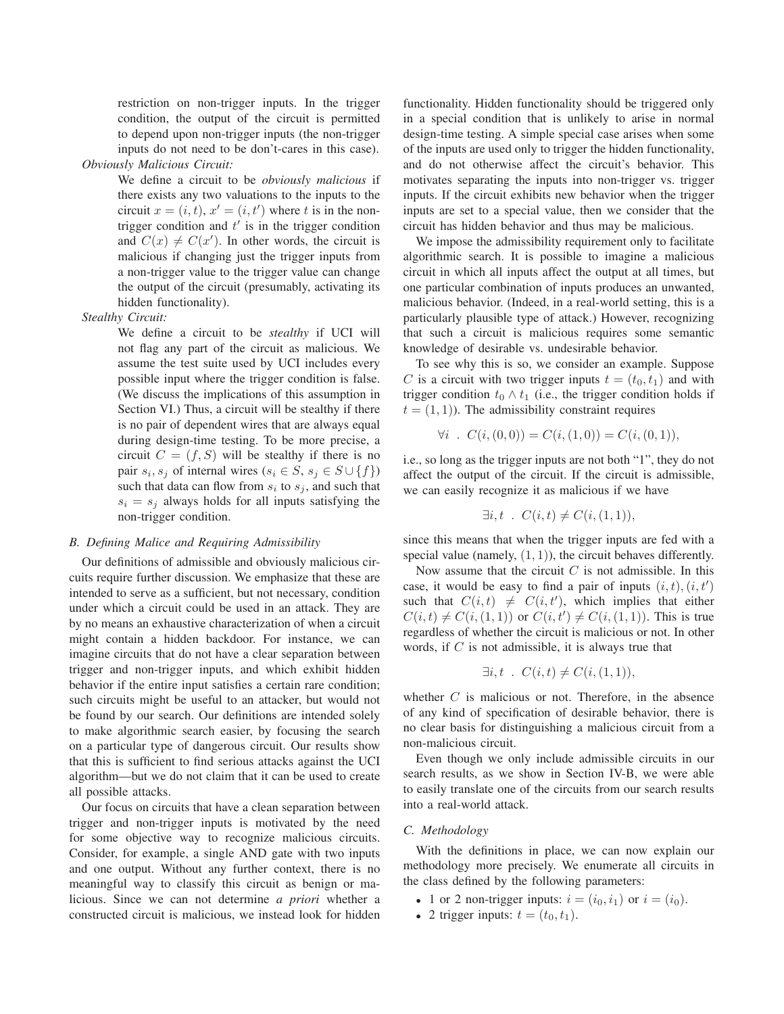restriction on non-trigger inputs. In the trigger condition, the output of the circuit is permitted to depend upon non-trigger inputs (the non-trigger inputs do not need to be don't-cares in this case).

### *Obviously Malicious Circuit:*

We define a circuit to be *obviously malicious* if there exists any two valuations to the inputs to the circuit  $x = (i, t)$ ,  $x' = (i, t')$  where t is in the nontrigger condition and  $t'$  is in the trigger condition and  $C(x) \neq C(x')$ . In other words, the circuit is malicious if changing just the trigger inputs from a non-trigger value to the trigger value can change the output of the circuit (presumably, activating its hidden functionality).

### *Stealthy Circuit:*

We define a circuit to be *stealthy* if UCI will not flag any part of the circuit as malicious. We assume the test suite used by UCI includes every possible input where the trigger condition is false. (We discuss the implications of this assumption in Section VI.) Thus, a circuit will be stealthy if there is no pair of dependent wires that are always equal during design-time testing. To be more precise, a circuit  $C = (f, S)$  will be stealthy if there is no pair  $s_i, s_j$  of internal wires  $(s_i \in S, s_j \in S \cup \{f\})$ such that data can flow from  $s_i$  to  $s_j$ , and such that  $s_i = s_j$  always holds for all inputs satisfying the non-trigger condition.

### *B. Defining Malice and Requiring Admissibility*

Our definitions of admissible and obviously malicious circuits require further discussion. We emphasize that these are intended to serve as a sufficient, but not necessary, condition under which a circuit could be used in an attack. They are by no means an exhaustive characterization of when a circuit might contain a hidden backdoor. For instance, we can imagine circuits that do not have a clear separation between trigger and non-trigger inputs, and which exhibit hidden behavior if the entire input satisfies a certain rare condition; such circuits might be useful to an attacker, but would not be found by our search. Our definitions are intended solely to make algorithmic search easier, by focusing the search on a particular type of dangerous circuit. Our results show that this is sufficient to find serious attacks against the UCI algorithm—but we do not claim that it can be used to create all possible attacks.

Our focus on circuits that have a clean separation between trigger and non-trigger inputs is motivated by the need for some objective way to recognize malicious circuits. Consider, for example, a single AND gate with two inputs and one output. Without any further context, there is no meaningful way to classify this circuit as benign or malicious. Since we can not determine *a priori* whether a constructed circuit is malicious, we instead look for hidden functionality. Hidden functionality should be triggered only in a special condition that is unlikely to arise in normal design-time testing. A simple special case arises when some of the inputs are used only to trigger the hidden functionality, and do not otherwise affect the circuit's behavior. This motivates separating the inputs into non-trigger vs. trigger inputs. If the circuit exhibits new behavior when the trigger inputs are set to a special value, then we consider that the circuit has hidden behavior and thus may be malicious.

We impose the admissibility requirement only to facilitate algorithmic search. It is possible to imagine a malicious circuit in which all inputs affect the output at all times, but one particular combination of inputs produces an unwanted, malicious behavior. (Indeed, in a real-world setting, this is a particularly plausible type of attack.) However, recognizing that such a circuit is malicious requires some semantic knowledge of desirable vs. undesirable behavior.

To see why this is so, we consider an example. Suppose C is a circuit with two trigger inputs  $t = (t_0, t_1)$  and with trigger condition  $t_0 \wedge t_1$  (i.e., the trigger condition holds if  $t = (1, 1)$ . The admissibility constraint requires

$$
\forall i \quad C(i,(0,0)) = C(i,(1,0)) = C(i,(0,1)),
$$

i.e., so long as the trigger inputs are not both "1", they do not affect the output of the circuit. If the circuit is admissible, we can easily recognize it as malicious if we have

$$
\exists i, t \; . \; C(i,t) \neq C(i,(1,1)),
$$

since this means that when the trigger inputs are fed with a special value (namely,  $(1, 1)$ ), the circuit behaves differently.

Now assume that the circuit  $C$  is not admissible. In this case, it would be easy to find a pair of inputs  $(i, t), (i, t')$ such that  $C(i, t) \neq C(i, t')$ , which implies that either  $C(i, t) \neq C(i, (1, 1))$  or  $C(i, t') \neq C(i, (1, 1))$ . This is true regardless of whether the circuit is malicious or not. In other words, if  $C$  is not admissible, it is always true that

$$
\exists i, t \quad C(i, t) \neq C(i, (1, 1)),
$$

whether  $C$  is malicious or not. Therefore, in the absence of any kind of specification of desirable behavior, there is no clear basis for distinguishing a malicious circuit from a non-malicious circuit.

Even though we only include admissible circuits in our search results, as we show in Section IV-B, we were able to easily translate one of the circuits from our search results into a real-world attack.

### *C. Methodology*

With the definitions in place, we can now explain our methodology more precisely. We enumerate all circuits in the class defined by the following parameters:

- 1 or 2 non-trigger inputs:  $i = (i_0, i_1)$  or  $i = (i_0)$ .
- 2 trigger inputs:  $t = (t_0, t_1)$ .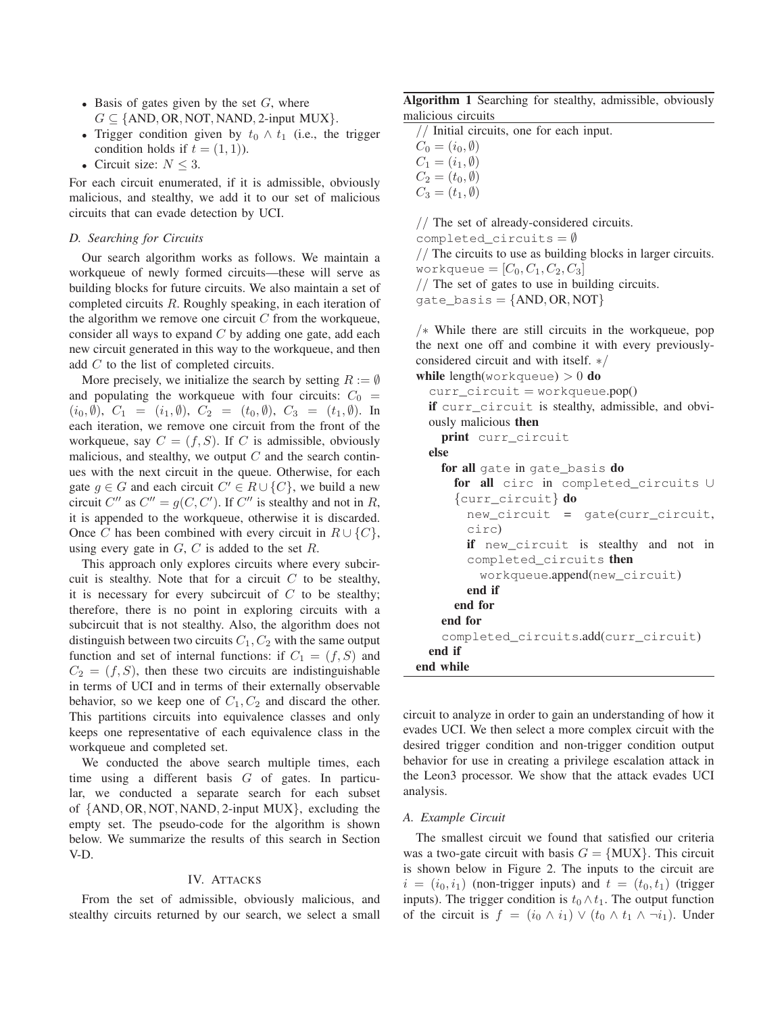- Basis of gates given by the set  $G$ , where
- $G \subseteq \{AND, OR, NOT, NAND, 2-input MUX\}.$
- Trigger condition given by  $t_0 \wedge t_1$  (i.e., the trigger condition holds if  $t = (1, 1)$ ).
- Circuit size:  $N \leq 3$ .

For each circuit enumerated, if it is admissible, obviously malicious, and stealthy, we add it to our set of malicious circuits that can evade detection by UCI.

### *D. Searching for Circuits*

Our search algorithm works as follows. We maintain a workqueue of newly formed circuits—these will serve as building blocks for future circuits. We also maintain a set of completed circuits R. Roughly speaking, in each iteration of the algorithm we remove one circuit  $C$  from the workqueue, consider all ways to expand  $C$  by adding one gate, add each new circuit generated in this way to the workqueue, and then add C to the list of completed circuits.

More precisely, we initialize the search by setting  $R := \emptyset$ and populating the workqueue with four circuits:  $C_0$  =  $(i_0, \emptyset)$ ,  $C_1 = (i_1, \emptyset)$ ,  $C_2 = (t_0, \emptyset)$ ,  $C_3 = (t_1, \emptyset)$ . In each iteration, we remove one circuit from the front of the workqueue, say  $C = (f, S)$ . If C is admissible, obviously malicious, and stealthy, we output  $C$  and the search continues with the next circuit in the queue. Otherwise, for each gate  $g \in G$  and each circuit  $C' \in R \cup \{C\}$ , we build a new circuit C'' as  $C'' = g(C, C')$ . If C'' is stealthy and not in R, it is appended to the workqueue, otherwise it is discarded. Once C has been combined with every circuit in  $R \cup \{C\}$ , using every gate in  $G, C$  is added to the set  $R$ .

This approach only explores circuits where every subcircuit is stealthy. Note that for a circuit  $C$  to be stealthy, it is necessary for every subcircuit of  $C$  to be stealthy; therefore, there is no point in exploring circuits with a subcircuit that is not stealthy. Also, the algorithm does not distinguish between two circuits  $C_1, C_2$  with the same output function and set of internal functions: if  $C_1 = (f, S)$  and  $C_2 = (f, S)$ , then these two circuits are indistinguishable in terms of UCI and in terms of their externally observable behavior, so we keep one of  $C_1, C_2$  and discard the other. This partitions circuits into equivalence classes and only keeps one representative of each equivalence class in the workqueue and completed set.

We conducted the above search multiple times, each time using a different basis G of gates. In particular, we conducted a separate search for each subset of {AND, OR, NOT, NAND, 2-input MUX}, excluding the empty set. The pseudo-code for the algorithm is shown below. We summarize the results of this search in Section V-D.

### IV. ATTACKS

From the set of admissible, obviously malicious, and stealthy circuits returned by our search, we select a small

**Algorithm 1** Searching for stealthy, admissible, obviously malicious circuits

|                          | $//$ Initial circuits, one for each input. |  |  |
|--------------------------|--------------------------------------------|--|--|
| $C_0=(i_0,\emptyset)$    |                                            |  |  |
| $C_1 = (i_1, \emptyset)$ |                                            |  |  |
| $C_2=(t_0,\emptyset)$    |                                            |  |  |
| $C_3 = (t_1, \emptyset)$ |                                            |  |  |
|                          |                                            |  |  |

// The set of already-considered circuits.

completed\_circuits =  $\emptyset$ 

// The circuits to use as building blocks in larger circuits. workqueue  $=[C_0, C_1, C_2, C_3]$ 

// The set of gates to use in building circuits.

 $gate\_basis = \{AND, OR, NOT\}$ 

/∗ While there are still circuits in the workqueue, pop the next one off and combine it with every previouslyconsidered circuit and with itself. ∗/

```
while length(workqueue) > 0 do
  curr circuit = workqueue.pop()if curr_circuit is stealthy, admissible, and obvi-
  ously malicious then
    print curr_circuit
  else
    for all gate in gate_basis do
     for all circ in completed_circuits ∪
      {curr_circuit} do
        new_circuit = gate(curr_circuit,
        circ)
        if new circuit is stealthy and not in
        completed_circuits then
          workqueue.append(new_circuit)
        end if
     end for
    end for
    completed_circuits.add(curr_circuit)
  end if
end while
```
circuit to analyze in order to gain an understanding of how it evades UCI. We then select a more complex circuit with the desired trigger condition and non-trigger condition output behavior for use in creating a privilege escalation attack in the Leon3 processor. We show that the attack evades UCI analysis.

### *A. Example Circuit*

The smallest circuit we found that satisfied our criteria was a two-gate circuit with basis  $G = \{MUX\}$ . This circuit is shown below in Figure 2. The inputs to the circuit are  $i = (i_0, i_1)$  (non-trigger inputs) and  $t = (t_0, t_1)$  (trigger inputs). The trigger condition is  $t_0 \wedge t_1$ . The output function of the circuit is  $f = (i_0 \wedge i_1) \vee (t_0 \wedge t_1 \wedge \neg i_1)$ . Under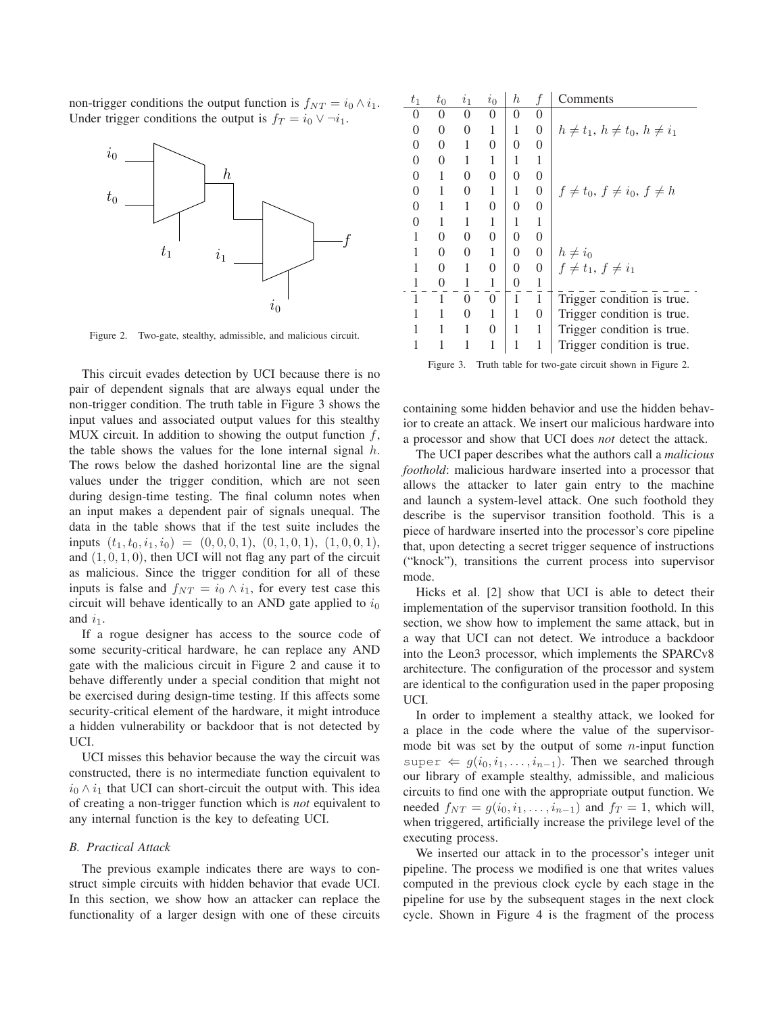non-trigger conditions the output function is  $f_{NT} = i_0 \wedge i_1$ . Under trigger conditions the output is  $f_T = i_0 \vee \neg i_1$ .



Figure 2. Two-gate, stealthy, admissible, and malicious circuit.

This circuit evades detection by UCI because there is no pair of dependent signals that are always equal under the non-trigger condition. The truth table in Figure 3 shows the input values and associated output values for this stealthy MUX circuit. In addition to showing the output function  $f$ , the table shows the values for the lone internal signal  $h$ . The rows below the dashed horizontal line are the signal values under the trigger condition, which are not seen during design-time testing. The final column notes when an input makes a dependent pair of signals unequal. The data in the table shows that if the test suite includes the inputs  $(t_1, t_0, i_1, i_0) = (0, 0, 0, 1), (0, 1, 0, 1), (1, 0, 0, 1),$ and  $(1, 0, 1, 0)$ , then UCI will not flag any part of the circuit as malicious. Since the trigger condition for all of these inputs is false and  $f_{NT} = i_0 \wedge i_1$ , for every test case this circuit will behave identically to an AND gate applied to  $i_0$ and  $i_1$ .

If a rogue designer has access to the source code of some security-critical hardware, he can replace any AND gate with the malicious circuit in Figure 2 and cause it to behave differently under a special condition that might not be exercised during design-time testing. If this affects some security-critical element of the hardware, it might introduce a hidden vulnerability or backdoor that is not detected by UCI.

UCI misses this behavior because the way the circuit was constructed, there is no intermediate function equivalent to  $i_0 \wedge i_1$  that UCI can short-circuit the output with. This idea of creating a non-trigger function which is *not* equivalent to any internal function is the key to defeating UCI.

### *B. Practical Attack*

The previous example indicates there are ways to construct simple circuits with hidden behavior that evade UCI. In this section, we show how an attacker can replace the functionality of a larger design with one of these circuits

| $t_1$    | $t_{0}$  | $\imath_1$ | $\iota_0$ | h              | f        | Comments                             |
|----------|----------|------------|-----------|----------------|----------|--------------------------------------|
| 0        | 0        | 0          | 0         | $\Omega$       | 0        |                                      |
| 0        | 0        | 0          | 1         | 1              | 0        | $h \neq t_1, h \neq t_0, h \neq i_1$ |
| 0        | 0        | 1          | 0         | $\theta$       | 0        |                                      |
| $\Omega$ | 0        | 1          | 1         | 1              | 1        |                                      |
| 0        | 1        | 0          | 0         | 0              | 0        |                                      |
| 0        |          | 0          | 1         | 1              | $\theta$ | $f \neq t_0, f \neq i_0, f \neq h$   |
| $\Omega$ | 1        | 1          | 0         | $\theta$       | $\theta$ |                                      |
| 0        | 1        | 1          | 1         | 1              | 1        |                                      |
|          | 0        | 0          | 0         | 0              | $\theta$ |                                      |
|          | $\Omega$ | 0          | 1         | 0              | $\theta$ | $h \neq i_0$                         |
|          | 0        | 1          | 0         | $\overline{0}$ | $\theta$ | $f \neq t_1, f \neq i_1$             |
|          | 0        |            | 1         | 0              | 1        |                                      |
|          |          | 0          | 0         | 1              | 1        | Trigger condition is true.           |
|          | 1        | 0          | 1         | 1              | $\theta$ | Trigger condition is true.           |
|          | 1        | 1          | 0         | 1              | 1        | Trigger condition is true.           |
|          |          |            | 1         |                |          | Trigger condition is true.           |

Figure 3. Truth table for two-gate circuit shown in Figure 2.

containing some hidden behavior and use the hidden behavior to create an attack. We insert our malicious hardware into a processor and show that UCI does *not* detect the attack.

The UCI paper describes what the authors call a *malicious foothold*: malicious hardware inserted into a processor that allows the attacker to later gain entry to the machine and launch a system-level attack. One such foothold they describe is the supervisor transition foothold. This is a piece of hardware inserted into the processor's core pipeline that, upon detecting a secret trigger sequence of instructions ("knock"), transitions the current process into supervisor mode.

Hicks et al. [2] show that UCI is able to detect their implementation of the supervisor transition foothold. In this section, we show how to implement the same attack, but in a way that UCI can not detect. We introduce a backdoor into the Leon3 processor, which implements the SPARCv8 architecture. The configuration of the processor and system are identical to the configuration used in the paper proposing UCI.

In order to implement a stealthy attack, we looked for a place in the code where the value of the supervisormode bit was set by the output of some  $n$ -input function super  $\Leftarrow$   $g(i_0, i_1, \ldots, i_{n-1})$ . Then we searched through our library of example stealthy, admissible, and malicious circuits to find one with the appropriate output function. We needed  $f_{NT} = g(i_0, i_1, \ldots, i_{n-1})$  and  $f_T = 1$ , which will, when triggered, artificially increase the privilege level of the executing process.

We inserted our attack in to the processor's integer unit pipeline. The process we modified is one that writes values computed in the previous clock cycle by each stage in the pipeline for use by the subsequent stages in the next clock cycle. Shown in Figure 4 is the fragment of the process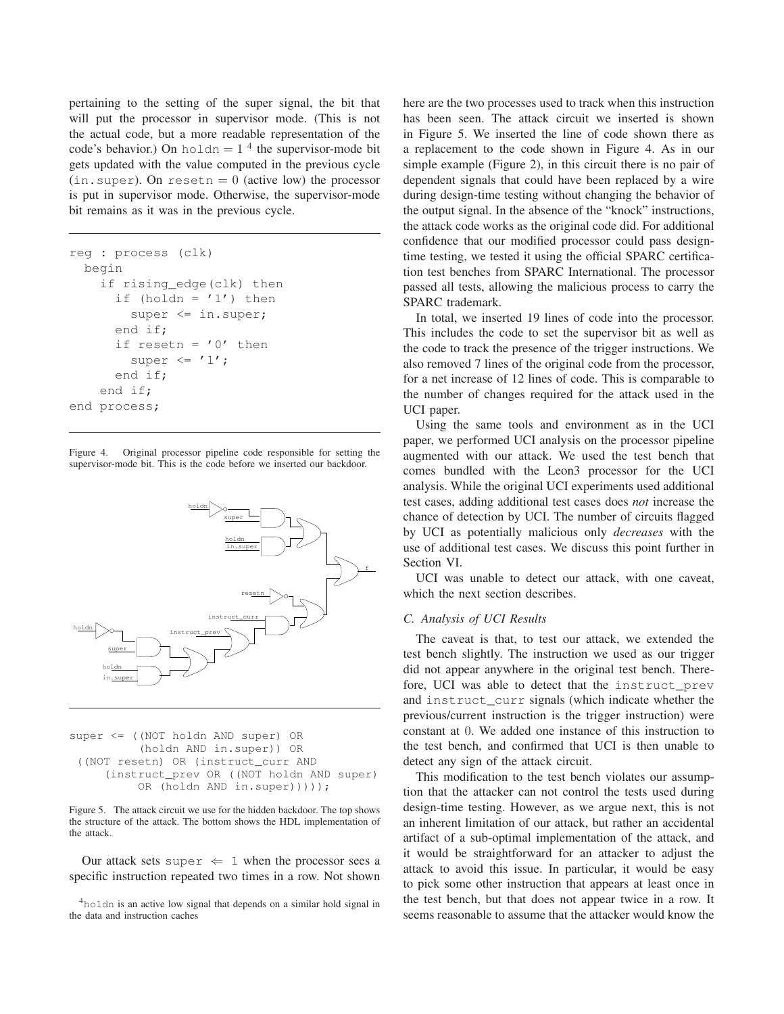pertaining to the setting of the super signal, the bit that will put the processor in supervisor mode. (This is not the actual code, but a more readable representation of the code's behavior.) On  $holdn = 1<sup>4</sup>$  the supervisor-mode bit gets updated with the value computed in the previous cycle  $(in.support)$ . On resetn = 0 (active low) the processor is put in supervisor mode. Otherwise, the supervisor-mode bit remains as it was in the previous cycle.

```
reg : process (clk)
 begin
    if rising_edge(clk) then
      if (holdn = '1') then
        super <= in.super;
      end if;
      if resetn = '0' then
        super \leq '1';
      end if;
    end if;
end process;
```
Figure 4. Original processor pipeline code responsible for setting the supervisor-mode bit. This is the code before we inserted our backdoor.



```
super <= ((NOT holdn AND super) OR
          (holdn AND in.super)) OR
 ((NOT resetn) OR (instruct_curr AND
     (instruct_prev OR ((NOT holdn AND super)
          OR (holdn AND in.super)))));
```
Figure 5. The attack circuit we use for the hidden backdoor. The top shows the structure of the attack. The bottom shows the HDL implementation of the attack.

Our attack sets super  $\Leftarrow$  1 when the processor sees a specific instruction repeated two times in a row. Not shown

<sup>4</sup>holdn is an active low signal that depends on a similar hold signal in the data and instruction caches

here are the two processes used to track when this instruction has been seen. The attack circuit we inserted is shown in Figure 5. We inserted the line of code shown there as a replacement to the code shown in Figure 4. As in our simple example (Figure 2), in this circuit there is no pair of dependent signals that could have been replaced by a wire during design-time testing without changing the behavior of the output signal. In the absence of the "knock" instructions, the attack code works as the original code did. For additional confidence that our modified processor could pass designtime testing, we tested it using the official SPARC certification test benches from SPARC International. The processor passed all tests, allowing the malicious process to carry the SPARC trademark.

In total, we inserted 19 lines of code into the processor. This includes the code to set the supervisor bit as well as the code to track the presence of the trigger instructions. We also removed 7 lines of the original code from the processor, for a net increase of 12 lines of code. This is comparable to the number of changes required for the attack used in the UCI paper.

Using the same tools and environment as in the UCI paper, we performed UCI analysis on the processor pipeline augmented with our attack. We used the test bench that comes bundled with the Leon3 processor for the UCI analysis. While the original UCI experiments used additional test cases, adding additional test cases does *not* increase the chance of detection by UCI. The number of circuits flagged by UCI as potentially malicious only *decreases* with the use of additional test cases. We discuss this point further in Section VI.

UCI was unable to detect our attack, with one caveat, which the next section describes.

### *C. Analysis of UCI Results*

The caveat is that, to test our attack, we extended the test bench slightly. The instruction we used as our trigger did not appear anywhere in the original test bench. Therefore, UCI was able to detect that the instruct\_prev and instruct\_curr signals (which indicate whether the previous/current instruction is the trigger instruction) were constant at 0. We added one instance of this instruction to the test bench, and confirmed that UCI is then unable to detect any sign of the attack circuit.

This modification to the test bench violates our assumption that the attacker can not control the tests used during design-time testing. However, as we argue next, this is not an inherent limitation of our attack, but rather an accidental artifact of a sub-optimal implementation of the attack, and it would be straightforward for an attacker to adjust the attack to avoid this issue. In particular, it would be easy to pick some other instruction that appears at least once in the test bench, but that does not appear twice in a row. It seems reasonable to assume that the attacker would know the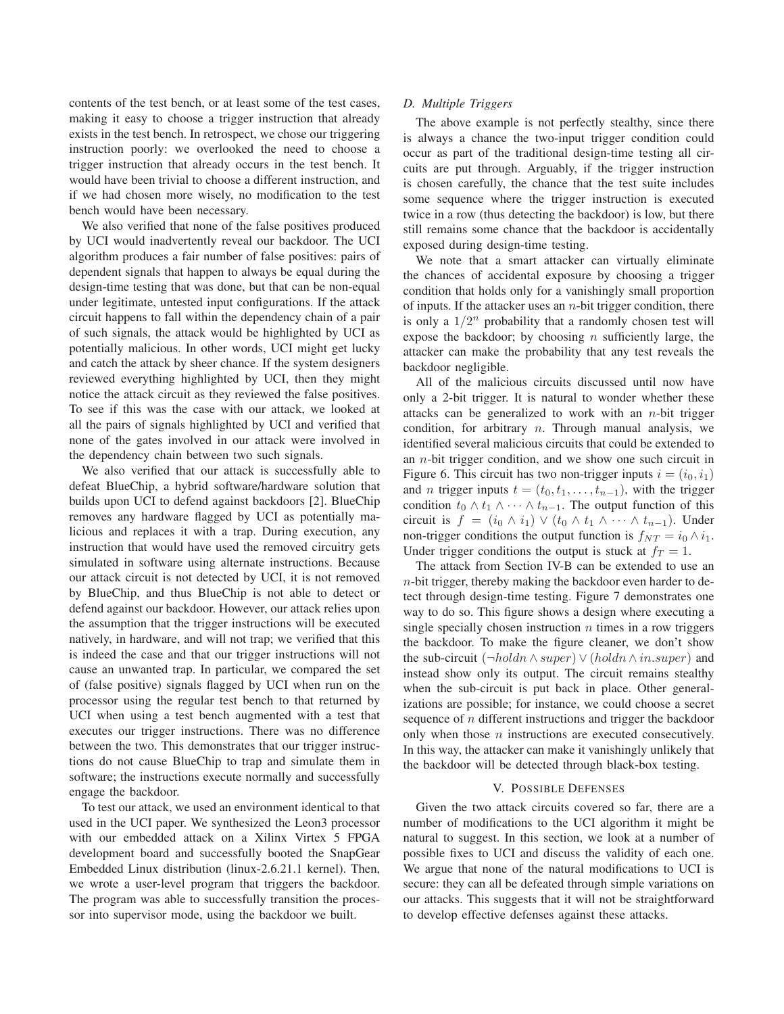contents of the test bench, or at least some of the test cases, making it easy to choose a trigger instruction that already exists in the test bench. In retrospect, we chose our triggering instruction poorly: we overlooked the need to choose a trigger instruction that already occurs in the test bench. It would have been trivial to choose a different instruction, and if we had chosen more wisely, no modification to the test bench would have been necessary.

We also verified that none of the false positives produced by UCI would inadvertently reveal our backdoor. The UCI algorithm produces a fair number of false positives: pairs of dependent signals that happen to always be equal during the design-time testing that was done, but that can be non-equal under legitimate, untested input configurations. If the attack circuit happens to fall within the dependency chain of a pair of such signals, the attack would be highlighted by UCI as potentially malicious. In other words, UCI might get lucky and catch the attack by sheer chance. If the system designers reviewed everything highlighted by UCI, then they might notice the attack circuit as they reviewed the false positives. To see if this was the case with our attack, we looked at all the pairs of signals highlighted by UCI and verified that none of the gates involved in our attack were involved in the dependency chain between two such signals.

We also verified that our attack is successfully able to defeat BlueChip, a hybrid software/hardware solution that builds upon UCI to defend against backdoors [2]. BlueChip removes any hardware flagged by UCI as potentially malicious and replaces it with a trap. During execution, any instruction that would have used the removed circuitry gets simulated in software using alternate instructions. Because our attack circuit is not detected by UCI, it is not removed by BlueChip, and thus BlueChip is not able to detect or defend against our backdoor. However, our attack relies upon the assumption that the trigger instructions will be executed natively, in hardware, and will not trap; we verified that this is indeed the case and that our trigger instructions will not cause an unwanted trap. In particular, we compared the set of (false positive) signals flagged by UCI when run on the processor using the regular test bench to that returned by UCI when using a test bench augmented with a test that executes our trigger instructions. There was no difference between the two. This demonstrates that our trigger instructions do not cause BlueChip to trap and simulate them in software; the instructions execute normally and successfully engage the backdoor.

To test our attack, we used an environment identical to that used in the UCI paper. We synthesized the Leon3 processor with our embedded attack on a Xilinx Virtex 5 FPGA development board and successfully booted the SnapGear Embedded Linux distribution (linux-2.6.21.1 kernel). Then, we wrote a user-level program that triggers the backdoor. The program was able to successfully transition the processor into supervisor mode, using the backdoor we built.

### *D. Multiple Triggers*

The above example is not perfectly stealthy, since there is always a chance the two-input trigger condition could occur as part of the traditional design-time testing all circuits are put through. Arguably, if the trigger instruction is chosen carefully, the chance that the test suite includes some sequence where the trigger instruction is executed twice in a row (thus detecting the backdoor) is low, but there still remains some chance that the backdoor is accidentally exposed during design-time testing.

We note that a smart attacker can virtually eliminate the chances of accidental exposure by choosing a trigger condition that holds only for a vanishingly small proportion of inputs. If the attacker uses an  $n$ -bit trigger condition, there is only a  $1/2^n$  probability that a randomly chosen test will expose the backdoor; by choosing  $n$  sufficiently large, the attacker can make the probability that any test reveals the backdoor negligible.

All of the malicious circuits discussed until now have only a 2-bit trigger. It is natural to wonder whether these attacks can be generalized to work with an  $n$ -bit trigger condition, for arbitrary  $n$ . Through manual analysis, we identified several malicious circuits that could be extended to an n-bit trigger condition, and we show one such circuit in Figure 6. This circuit has two non-trigger inputs  $i = (i_0, i_1)$ and *n* trigger inputs  $t = (t_0, t_1, \ldots, t_{n-1})$ , with the trigger condition  $t_0 \wedge t_1 \wedge \cdots \wedge t_{n-1}$ . The output function of this circuit is  $f = (i_0 \wedge i_1) \vee (t_0 \wedge t_1 \wedge \cdots \wedge t_{n-1})$ . Under non-trigger conditions the output function is  $f_{NT} = i_0 \wedge i_1$ . Under trigger conditions the output is stuck at  $f_T = 1$ .

The attack from Section IV-B can be extended to use an  $n$ -bit trigger, thereby making the backdoor even harder to detect through design-time testing. Figure 7 demonstrates one way to do so. This figure shows a design where executing a single specially chosen instruction  $n$  times in a row triggers the backdoor. To make the figure cleaner, we don't show the sub-circuit  $(\neg holdn \wedge super) \vee (holdn \wedge in.super)$  and instead show only its output. The circuit remains stealthy when the sub-circuit is put back in place. Other generalizations are possible; for instance, we could choose a secret sequence of *n* different instructions and trigger the backdoor only when those n instructions are executed consecutively. In this way, the attacker can make it vanishingly unlikely that the backdoor will be detected through black-box testing.

### V. POSSIBLE DEFENSES

Given the two attack circuits covered so far, there are a number of modifications to the UCI algorithm it might be natural to suggest. In this section, we look at a number of possible fixes to UCI and discuss the validity of each one. We argue that none of the natural modifications to UCI is secure: they can all be defeated through simple variations on our attacks. This suggests that it will not be straightforward to develop effective defenses against these attacks.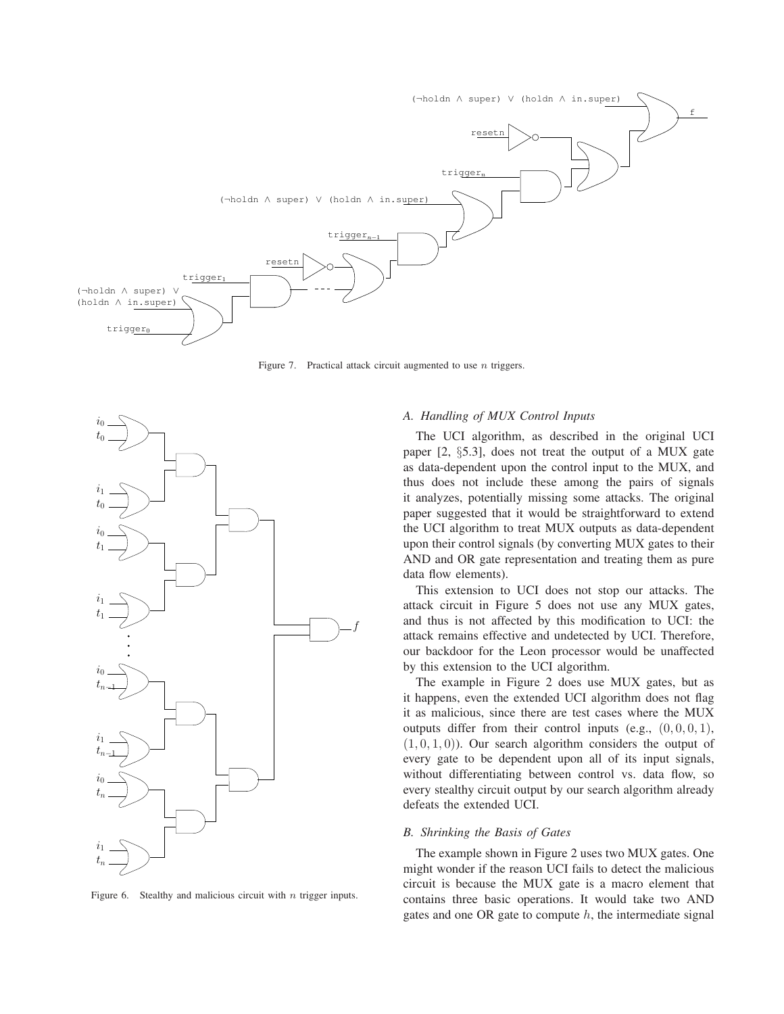

Figure 7. Practical attack circuit augmented to use  $n$  triggers.



Figure 6. Stealthy and malicious circuit with  $n$  trigger inputs.

### *A. Handling of MUX Control Inputs*

The UCI algorithm, as described in the original UCI paper [2, §5.3], does not treat the output of a MUX gate as data-dependent upon the control input to the MUX, and thus does not include these among the pairs of signals it analyzes, potentially missing some attacks. The original paper suggested that it would be straightforward to extend the UCI algorithm to treat MUX outputs as data-dependent upon their control signals (by converting MUX gates to their AND and OR gate representation and treating them as pure data flow elements).

This extension to UCI does not stop our attacks. The attack circuit in Figure 5 does not use any MUX gates, and thus is not affected by this modification to UCI: the attack remains effective and undetected by UCI. Therefore, our backdoor for the Leon processor would be unaffected by this extension to the UCI algorithm.

The example in Figure 2 does use MUX gates, but as it happens, even the extended UCI algorithm does not flag it as malicious, since there are test cases where the MUX outputs differ from their control inputs (e.g.,  $(0, 0, 0, 1)$ ,  $(1, 0, 1, 0)$ ). Our search algorithm considers the output of every gate to be dependent upon all of its input signals, without differentiating between control vs. data flow, so every stealthy circuit output by our search algorithm already defeats the extended UCI.

### *B. Shrinking the Basis of Gates*

The example shown in Figure 2 uses two MUX gates. One might wonder if the reason UCI fails to detect the malicious circuit is because the MUX gate is a macro element that contains three basic operations. It would take two AND gates and one OR gate to compute  $h$ , the intermediate signal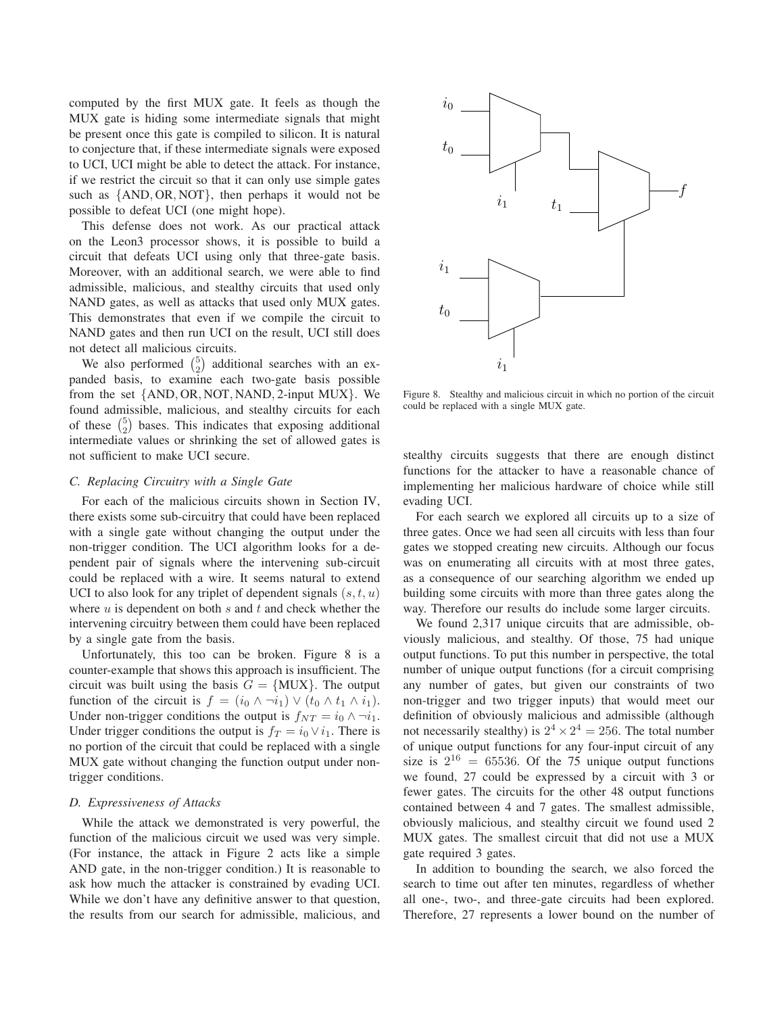computed by the first MUX gate. It feels as though the MUX gate is hiding some intermediate signals that might be present once this gate is compiled to silicon. It is natural to conjecture that, if these intermediate signals were exposed to UCI, UCI might be able to detect the attack. For instance, if we restrict the circuit so that it can only use simple gates such as {AND, OR, NOT}, then perhaps it would not be possible to defeat UCI (one might hope).

This defense does not work. As our practical attack on the Leon3 processor shows, it is possible to build a circuit that defeats UCI using only that three-gate basis. Moreover, with an additional search, we were able to find admissible, malicious, and stealthy circuits that used only NAND gates, as well as attacks that used only MUX gates. This demonstrates that even if we compile the circuit to NAND gates and then run UCI on the result, UCI still does not detect all malicious circuits.

We also performed  $\binom{5}{2}$  additional searches with an expanded basis, to examine each two-gate basis possible from the set {AND, OR, NOT, NAND, 2-input MUX}. We found admissible, malicious, and stealthy circuits for each of these  $\binom{5}{2}$  bases. This indicates that exposing additional intermediate values or shrinking the set of allowed gates is not sufficient to make UCI secure.

#### *C. Replacing Circuitry with a Single Gate*

For each of the malicious circuits shown in Section IV, there exists some sub-circuitry that could have been replaced with a single gate without changing the output under the non-trigger condition. The UCI algorithm looks for a dependent pair of signals where the intervening sub-circuit could be replaced with a wire. It seems natural to extend UCI to also look for any triplet of dependent signals  $(s, t, u)$ where  $u$  is dependent on both  $s$  and  $t$  and check whether the intervening circuitry between them could have been replaced by a single gate from the basis.

Unfortunately, this too can be broken. Figure 8 is a counter-example that shows this approach is insufficient. The circuit was built using the basis  $G = \{MUX\}$ . The output function of the circuit is  $f = (i_0 \wedge \neg i_1) \vee (t_0 \wedge t_1 \wedge i_1)$ . Under non-trigger conditions the output is  $f_{NT} = i_0 \wedge \neg i_1$ . Under trigger conditions the output is  $f_T = i_0 \vee i_1$ . There is no portion of the circuit that could be replaced with a single MUX gate without changing the function output under nontrigger conditions.

#### *D. Expressiveness of Attacks*

While the attack we demonstrated is very powerful, the function of the malicious circuit we used was very simple. (For instance, the attack in Figure 2 acts like a simple AND gate, in the non-trigger condition.) It is reasonable to ask how much the attacker is constrained by evading UCI. While we don't have any definitive answer to that question, the results from our search for admissible, malicious, and



Figure 8. Stealthy and malicious circuit in which no portion of the circuit could be replaced with a single MUX gate.

stealthy circuits suggests that there are enough distinct functions for the attacker to have a reasonable chance of implementing her malicious hardware of choice while still evading UCI.

For each search we explored all circuits up to a size of three gates. Once we had seen all circuits with less than four gates we stopped creating new circuits. Although our focus was on enumerating all circuits with at most three gates, as a consequence of our searching algorithm we ended up building some circuits with more than three gates along the way. Therefore our results do include some larger circuits.

We found 2,317 unique circuits that are admissible, obviously malicious, and stealthy. Of those, 75 had unique output functions. To put this number in perspective, the total number of unique output functions (for a circuit comprising any number of gates, but given our constraints of two non-trigger and two trigger inputs) that would meet our definition of obviously malicious and admissible (although not necessarily stealthy) is  $2^4 \times 2^4 = 256$ . The total number of unique output functions for any four-input circuit of any size is  $2^{16} = 65536$ . Of the 75 unique output functions we found, 27 could be expressed by a circuit with 3 or fewer gates. The circuits for the other 48 output functions contained between 4 and 7 gates. The smallest admissible, obviously malicious, and stealthy circuit we found used 2 MUX gates. The smallest circuit that did not use a MUX gate required 3 gates.

In addition to bounding the search, we also forced the search to time out after ten minutes, regardless of whether all one-, two-, and three-gate circuits had been explored. Therefore, 27 represents a lower bound on the number of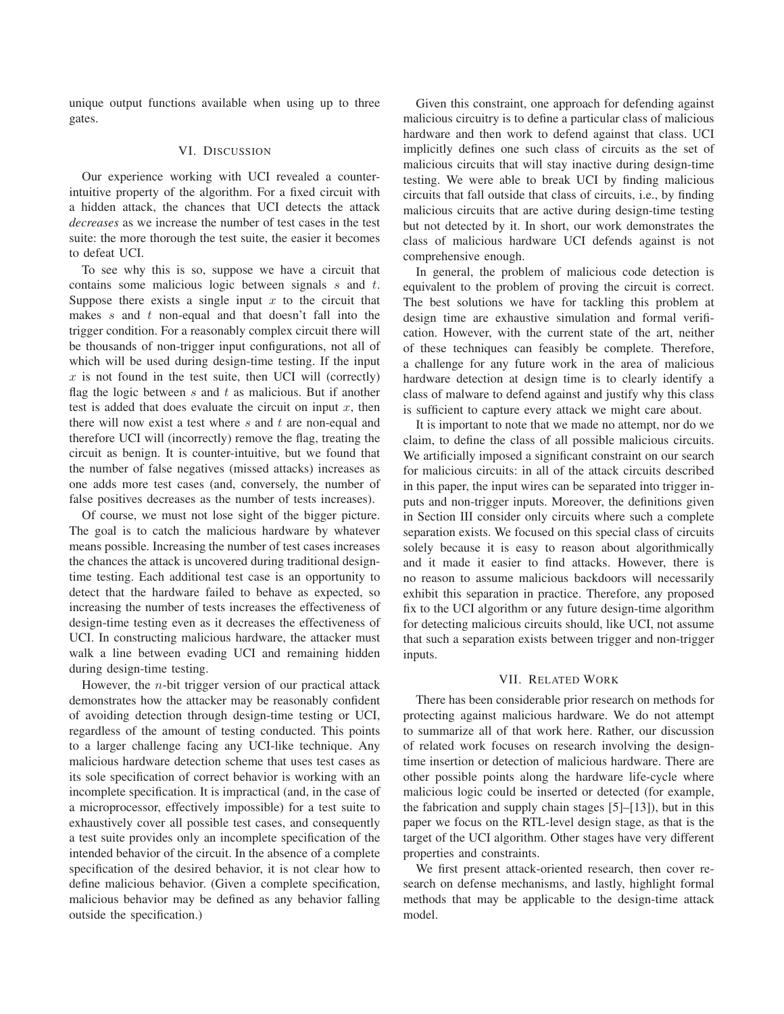unique output functions available when using up to three gates.

#### VI. DISCUSSION

Our experience working with UCI revealed a counterintuitive property of the algorithm. For a fixed circuit with a hidden attack, the chances that UCI detects the attack *decreases* as we increase the number of test cases in the test suite: the more thorough the test suite, the easier it becomes to defeat UCI.

To see why this is so, suppose we have a circuit that contains some malicious logic between signals s and t. Suppose there exists a single input  $x$  to the circuit that makes  $s$  and  $t$  non-equal and that doesn't fall into the trigger condition. For a reasonably complex circuit there will be thousands of non-trigger input configurations, not all of which will be used during design-time testing. If the input  $x$  is not found in the test suite, then UCI will (correctly) flag the logic between  $s$  and  $t$  as malicious. But if another test is added that does evaluate the circuit on input  $x$ , then there will now exist a test where  $s$  and  $t$  are non-equal and therefore UCI will (incorrectly) remove the flag, treating the circuit as benign. It is counter-intuitive, but we found that the number of false negatives (missed attacks) increases as one adds more test cases (and, conversely, the number of false positives decreases as the number of tests increases).

Of course, we must not lose sight of the bigger picture. The goal is to catch the malicious hardware by whatever means possible. Increasing the number of test cases increases the chances the attack is uncovered during traditional designtime testing. Each additional test case is an opportunity to detect that the hardware failed to behave as expected, so increasing the number of tests increases the effectiveness of design-time testing even as it decreases the effectiveness of UCI. In constructing malicious hardware, the attacker must walk a line between evading UCI and remaining hidden during design-time testing.

However, the  $n$ -bit trigger version of our practical attack demonstrates how the attacker may be reasonably confident of avoiding detection through design-time testing or UCI, regardless of the amount of testing conducted. This points to a larger challenge facing any UCI-like technique. Any malicious hardware detection scheme that uses test cases as its sole specification of correct behavior is working with an incomplete specification. It is impractical (and, in the case of a microprocessor, effectively impossible) for a test suite to exhaustively cover all possible test cases, and consequently a test suite provides only an incomplete specification of the intended behavior of the circuit. In the absence of a complete specification of the desired behavior, it is not clear how to define malicious behavior. (Given a complete specification, malicious behavior may be defined as any behavior falling outside the specification.)

Given this constraint, one approach for defending against malicious circuitry is to define a particular class of malicious hardware and then work to defend against that class. UCI implicitly defines one such class of circuits as the set of malicious circuits that will stay inactive during design-time testing. We were able to break UCI by finding malicious circuits that fall outside that class of circuits, i.e., by finding malicious circuits that are active during design-time testing but not detected by it. In short, our work demonstrates the class of malicious hardware UCI defends against is not comprehensive enough.

In general, the problem of malicious code detection is equivalent to the problem of proving the circuit is correct. The best solutions we have for tackling this problem at design time are exhaustive simulation and formal verification. However, with the current state of the art, neither of these techniques can feasibly be complete. Therefore, a challenge for any future work in the area of malicious hardware detection at design time is to clearly identify a class of malware to defend against and justify why this class is sufficient to capture every attack we might care about.

It is important to note that we made no attempt, nor do we claim, to define the class of all possible malicious circuits. We artificially imposed a significant constraint on our search for malicious circuits: in all of the attack circuits described in this paper, the input wires can be separated into trigger inputs and non-trigger inputs. Moreover, the definitions given in Section III consider only circuits where such a complete separation exists. We focused on this special class of circuits solely because it is easy to reason about algorithmically and it made it easier to find attacks. However, there is no reason to assume malicious backdoors will necessarily exhibit this separation in practice. Therefore, any proposed fix to the UCI algorithm or any future design-time algorithm for detecting malicious circuits should, like UCI, not assume that such a separation exists between trigger and non-trigger inputs.

### VII. RELATED WORK

There has been considerable prior research on methods for protecting against malicious hardware. We do not attempt to summarize all of that work here. Rather, our discussion of related work focuses on research involving the designtime insertion or detection of malicious hardware. There are other possible points along the hardware life-cycle where malicious logic could be inserted or detected (for example, the fabrication and supply chain stages [5]–[13]), but in this paper we focus on the RTL-level design stage, as that is the target of the UCI algorithm. Other stages have very different properties and constraints.

We first present attack-oriented research, then cover research on defense mechanisms, and lastly, highlight formal methods that may be applicable to the design-time attack model.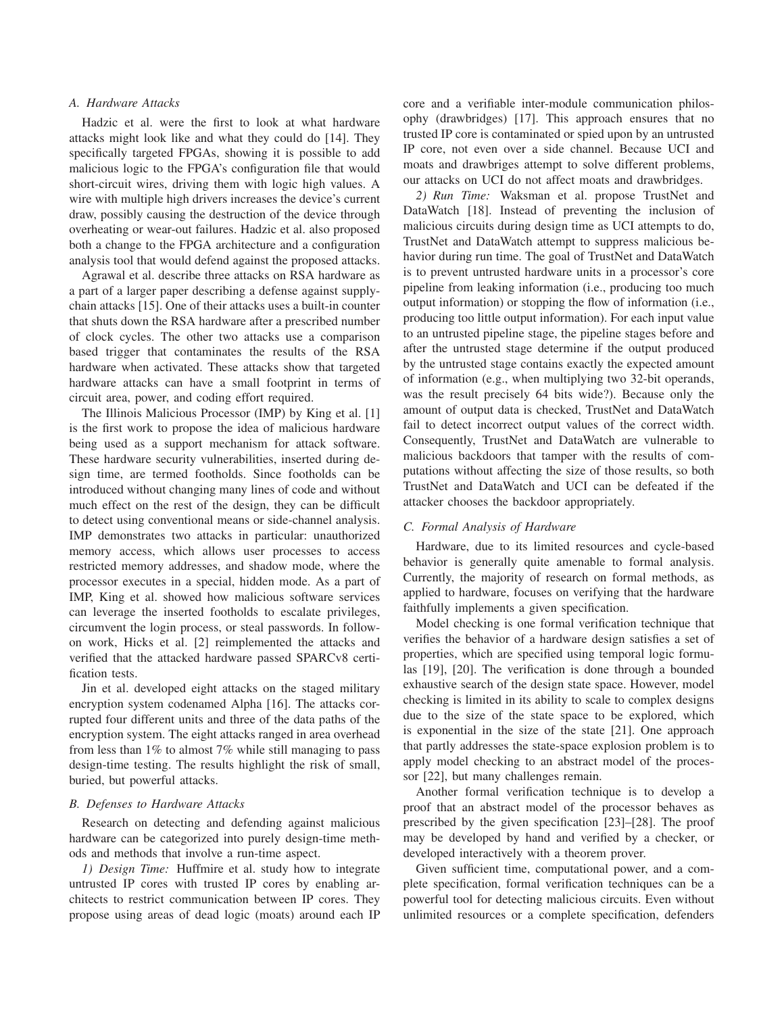### *A. Hardware Attacks*

Hadzic et al. were the first to look at what hardware attacks might look like and what they could do [14]. They specifically targeted FPGAs, showing it is possible to add malicious logic to the FPGA's configuration file that would short-circuit wires, driving them with logic high values. A wire with multiple high drivers increases the device's current draw, possibly causing the destruction of the device through overheating or wear-out failures. Hadzic et al. also proposed both a change to the FPGA architecture and a configuration analysis tool that would defend against the proposed attacks.

Agrawal et al. describe three attacks on RSA hardware as a part of a larger paper describing a defense against supplychain attacks [15]. One of their attacks uses a built-in counter that shuts down the RSA hardware after a prescribed number of clock cycles. The other two attacks use a comparison based trigger that contaminates the results of the RSA hardware when activated. These attacks show that targeted hardware attacks can have a small footprint in terms of circuit area, power, and coding effort required.

The Illinois Malicious Processor (IMP) by King et al. [1] is the first work to propose the idea of malicious hardware being used as a support mechanism for attack software. These hardware security vulnerabilities, inserted during design time, are termed footholds. Since footholds can be introduced without changing many lines of code and without much effect on the rest of the design, they can be difficult to detect using conventional means or side-channel analysis. IMP demonstrates two attacks in particular: unauthorized memory access, which allows user processes to access restricted memory addresses, and shadow mode, where the processor executes in a special, hidden mode. As a part of IMP, King et al. showed how malicious software services can leverage the inserted footholds to escalate privileges, circumvent the login process, or steal passwords. In followon work, Hicks et al. [2] reimplemented the attacks and verified that the attacked hardware passed SPARCv8 certification tests.

Jin et al. developed eight attacks on the staged military encryption system codenamed Alpha [16]. The attacks corrupted four different units and three of the data paths of the encryption system. The eight attacks ranged in area overhead from less than 1% to almost 7% while still managing to pass design-time testing. The results highlight the risk of small, buried, but powerful attacks.

### *B. Defenses to Hardware Attacks*

Research on detecting and defending against malicious hardware can be categorized into purely design-time methods and methods that involve a run-time aspect.

*1) Design Time:* Huffmire et al. study how to integrate untrusted IP cores with trusted IP cores by enabling architects to restrict communication between IP cores. They propose using areas of dead logic (moats) around each IP core and a verifiable inter-module communication philosophy (drawbridges) [17]. This approach ensures that no trusted IP core is contaminated or spied upon by an untrusted IP core, not even over a side channel. Because UCI and moats and drawbriges attempt to solve different problems, our attacks on UCI do not affect moats and drawbridges.

*2) Run Time:* Waksman et al. propose TrustNet and DataWatch [18]. Instead of preventing the inclusion of malicious circuits during design time as UCI attempts to do, TrustNet and DataWatch attempt to suppress malicious behavior during run time. The goal of TrustNet and DataWatch is to prevent untrusted hardware units in a processor's core pipeline from leaking information (i.e., producing too much output information) or stopping the flow of information (i.e., producing too little output information). For each input value to an untrusted pipeline stage, the pipeline stages before and after the untrusted stage determine if the output produced by the untrusted stage contains exactly the expected amount of information (e.g., when multiplying two 32-bit operands, was the result precisely 64 bits wide?). Because only the amount of output data is checked, TrustNet and DataWatch fail to detect incorrect output values of the correct width. Consequently, TrustNet and DataWatch are vulnerable to malicious backdoors that tamper with the results of computations without affecting the size of those results, so both TrustNet and DataWatch and UCI can be defeated if the attacker chooses the backdoor appropriately.

### *C. Formal Analysis of Hardware*

Hardware, due to its limited resources and cycle-based behavior is generally quite amenable to formal analysis. Currently, the majority of research on formal methods, as applied to hardware, focuses on verifying that the hardware faithfully implements a given specification.

Model checking is one formal verification technique that verifies the behavior of a hardware design satisfies a set of properties, which are specified using temporal logic formulas [19], [20]. The verification is done through a bounded exhaustive search of the design state space. However, model checking is limited in its ability to scale to complex designs due to the size of the state space to be explored, which is exponential in the size of the state [21]. One approach that partly addresses the state-space explosion problem is to apply model checking to an abstract model of the processor [22], but many challenges remain.

Another formal verification technique is to develop a proof that an abstract model of the processor behaves as prescribed by the given specification [23]–[28]. The proof may be developed by hand and verified by a checker, or developed interactively with a theorem prover.

Given sufficient time, computational power, and a complete specification, formal verification techniques can be a powerful tool for detecting malicious circuits. Even without unlimited resources or a complete specification, defenders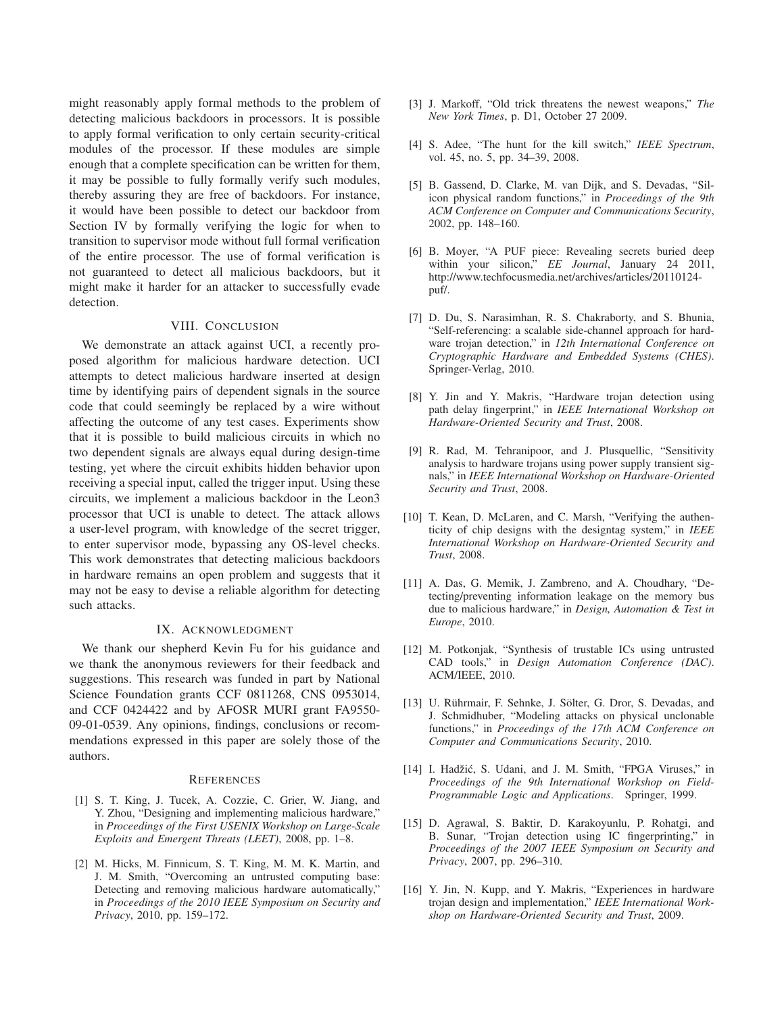might reasonably apply formal methods to the problem of detecting malicious backdoors in processors. It is possible to apply formal verification to only certain security-critical modules of the processor. If these modules are simple enough that a complete specification can be written for them, it may be possible to fully formally verify such modules, thereby assuring they are free of backdoors. For instance, it would have been possible to detect our backdoor from Section IV by formally verifying the logic for when to transition to supervisor mode without full formal verification of the entire processor. The use of formal verification is not guaranteed to detect all malicious backdoors, but it might make it harder for an attacker to successfully evade detection.

## VIII. CONCLUSION

We demonstrate an attack against UCI, a recently proposed algorithm for malicious hardware detection. UCI attempts to detect malicious hardware inserted at design time by identifying pairs of dependent signals in the source code that could seemingly be replaced by a wire without affecting the outcome of any test cases. Experiments show that it is possible to build malicious circuits in which no two dependent signals are always equal during design-time testing, yet where the circuit exhibits hidden behavior upon receiving a special input, called the trigger input. Using these circuits, we implement a malicious backdoor in the Leon3 processor that UCI is unable to detect. The attack allows a user-level program, with knowledge of the secret trigger, to enter supervisor mode, bypassing any OS-level checks. This work demonstrates that detecting malicious backdoors in hardware remains an open problem and suggests that it may not be easy to devise a reliable algorithm for detecting such attacks.

### IX. ACKNOWLEDGMENT

We thank our shepherd Kevin Fu for his guidance and we thank the anonymous reviewers for their feedback and suggestions. This research was funded in part by National Science Foundation grants CCF 0811268, CNS 0953014, and CCF 0424422 and by AFOSR MURI grant FA9550- 09-01-0539. Any opinions, findings, conclusions or recommendations expressed in this paper are solely those of the authors.

#### **REFERENCES**

- [1] S. T. King, J. Tucek, A. Cozzie, C. Grier, W. Jiang, and Y. Zhou, "Designing and implementing malicious hardware," in *Proceedings of the First USENIX Workshop on Large-Scale Exploits and Emergent Threats (LEET)*, 2008, pp. 1–8.
- [2] M. Hicks, M. Finnicum, S. T. King, M. M. K. Martin, and J. M. Smith, "Overcoming an untrusted computing base: Detecting and removing malicious hardware automatically," in *Proceedings of the 2010 IEEE Symposium on Security and Privacy*, 2010, pp. 159–172.
- [3] J. Markoff, "Old trick threatens the newest weapons," *The New York Times*, p. D1, October 27 2009.
- [4] S. Adee, "The hunt for the kill switch," *IEEE Spectrum*, vol. 45, no. 5, pp. 34–39, 2008.
- [5] B. Gassend, D. Clarke, M. van Dijk, and S. Devadas, "Silicon physical random functions," in *Proceedings of the 9th ACM Conference on Computer and Communications Security*, 2002, pp. 148–160.
- [6] B. Moyer, "A PUF piece: Revealing secrets buried deep within your silicon," *EE Journal*, January 24 2011, http://www.techfocusmedia.net/archives/articles/20110124 puf/.
- [7] D. Du, S. Narasimhan, R. S. Chakraborty, and S. Bhunia, "Self-referencing: a scalable side-channel approach for hardware trojan detection," in *12th International Conference on Cryptographic Hardware and Embedded Systems (CHES)*. Springer-Verlag, 2010.
- [8] Y. Jin and Y. Makris, "Hardware trojan detection using path delay fingerprint," in *IEEE International Workshop on Hardware-Oriented Security and Trust*, 2008.
- [9] R. Rad, M. Tehranipoor, and J. Plusquellic, "Sensitivity analysis to hardware trojans using power supply transient signals," in *IEEE International Workshop on Hardware-Oriented Security and Trust*, 2008.
- [10] T. Kean, D. McLaren, and C. Marsh, "Verifying the authenticity of chip designs with the designtag system," in *IEEE International Workshop on Hardware-Oriented Security and Trust*, 2008.
- [11] A. Das, G. Memik, J. Zambreno, and A. Choudhary, "Detecting/preventing information leakage on the memory bus due to malicious hardware," in *Design, Automation & Test in Europe*, 2010.
- [12] M. Potkonjak, "Synthesis of trustable ICs using untrusted CAD tools," in *Design Automation Conference (DAC)*. ACM/IEEE, 2010.
- [13] U. Rührmair, F. Sehnke, J. Sölter, G. Dror, S. Devadas, and J. Schmidhuber, "Modeling attacks on physical unclonable functions," in *Proceedings of the 17th ACM Conference on Computer and Communications Security*, 2010.
- [14] I. Hadžić, S. Udani, and J. M. Smith, "FPGA Viruses," in *Proceedings of the 9th International Workshop on Field-Programmable Logic and Applications*. Springer, 1999.
- [15] D. Agrawal, S. Baktir, D. Karakoyunlu, P. Rohatgi, and B. Sunar, "Trojan detection using IC fingerprinting," in *Proceedings of the 2007 IEEE Symposium on Security and Privacy*, 2007, pp. 296–310.
- [16] Y. Jin, N. Kupp, and Y. Makris, "Experiences in hardware trojan design and implementation," *IEEE International Workshop on Hardware-Oriented Security and Trust*, 2009.